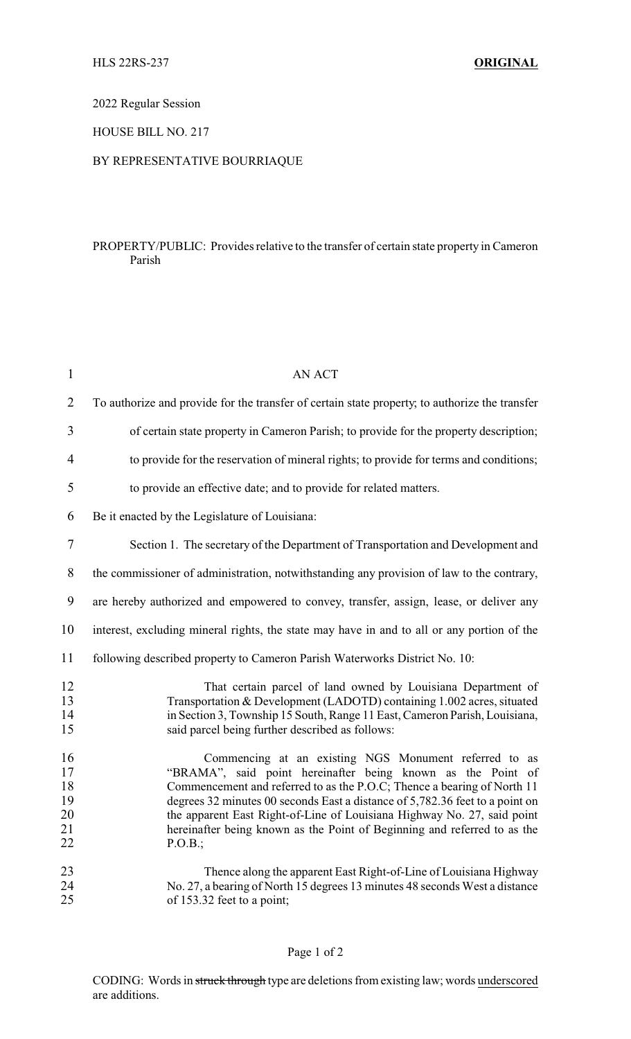2022 Regular Session

HOUSE BILL NO. 217

### BY REPRESENTATIVE BOURRIAQUE

### PROPERTY/PUBLIC: Provides relative to the transfer of certain state property in Cameron Parish

| $\mathbf{1}$                           | <b>AN ACT</b>                                                                                                                                                                                                                                                                                                                                                                                                                                     |
|----------------------------------------|---------------------------------------------------------------------------------------------------------------------------------------------------------------------------------------------------------------------------------------------------------------------------------------------------------------------------------------------------------------------------------------------------------------------------------------------------|
| $\overline{2}$                         | To authorize and provide for the transfer of certain state property, to authorize the transfer                                                                                                                                                                                                                                                                                                                                                    |
| 3                                      | of certain state property in Cameron Parish; to provide for the property description;                                                                                                                                                                                                                                                                                                                                                             |
| 4                                      | to provide for the reservation of mineral rights; to provide for terms and conditions;                                                                                                                                                                                                                                                                                                                                                            |
| 5                                      | to provide an effective date; and to provide for related matters.                                                                                                                                                                                                                                                                                                                                                                                 |
| 6                                      | Be it enacted by the Legislature of Louisiana:                                                                                                                                                                                                                                                                                                                                                                                                    |
| 7                                      | Section 1. The secretary of the Department of Transportation and Development and                                                                                                                                                                                                                                                                                                                                                                  |
| 8                                      | the commissioner of administration, notwithstanding any provision of law to the contrary,                                                                                                                                                                                                                                                                                                                                                         |
| 9                                      | are hereby authorized and empowered to convey, transfer, assign, lease, or deliver any                                                                                                                                                                                                                                                                                                                                                            |
| 10                                     | interest, excluding mineral rights, the state may have in and to all or any portion of the                                                                                                                                                                                                                                                                                                                                                        |
| 11                                     | following described property to Cameron Parish Waterworks District No. 10:                                                                                                                                                                                                                                                                                                                                                                        |
| 12<br>13<br>14<br>15                   | That certain parcel of land owned by Louisiana Department of<br>Transportation & Development (LADOTD) containing 1.002 acres, situated<br>in Section 3, Township 15 South, Range 11 East, Cameron Parish, Louisiana,<br>said parcel being further described as follows:                                                                                                                                                                           |
| 16<br>17<br>18<br>19<br>20<br>21<br>22 | Commencing at an existing NGS Monument referred to as<br>"BRAMA", said point hereinafter being known as the Point of<br>Commencement and referred to as the P.O.C; Thence a bearing of North 11<br>degrees 32 minutes 00 seconds East a distance of 5,782.36 feet to a point on<br>the apparent East Right-of-Line of Louisiana Highway No. 27, said point<br>hereinafter being known as the Point of Beginning and referred to as the<br>P.O.B.; |
| 23<br>24<br>25                         | Thence along the apparent East Right-of-Line of Louisiana Highway<br>No. 27, a bearing of North 15 degrees 13 minutes 48 seconds West a distance<br>of 153.32 feet to a point;                                                                                                                                                                                                                                                                    |